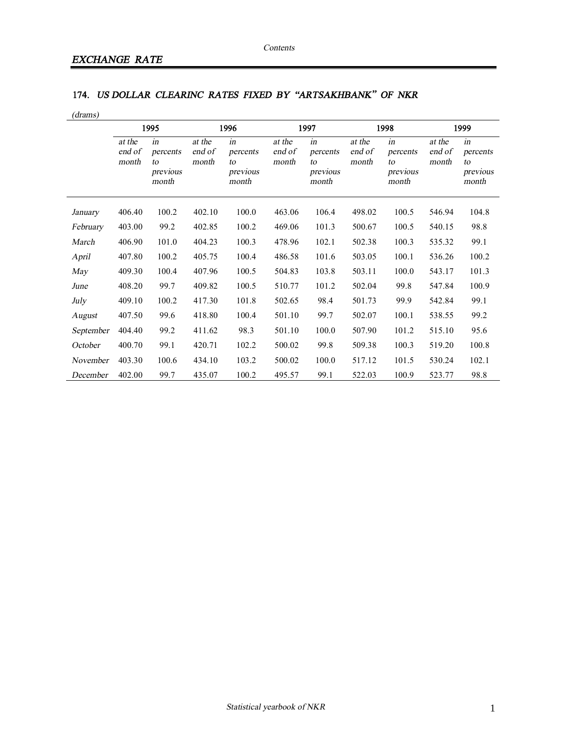## **174.** *US DOLLAR CLEARINC RATES FIXED BY "ARTSAKHBANK" OF NKR*

| (drams)   |                           |                                           |                           |                                           |                           |                                           |                           |                                           |                           |                                           |
|-----------|---------------------------|-------------------------------------------|---------------------------|-------------------------------------------|---------------------------|-------------------------------------------|---------------------------|-------------------------------------------|---------------------------|-------------------------------------------|
|           | 1995                      |                                           | 1996                      |                                           | 1997                      |                                           | 1998                      |                                           | 1999                      |                                           |
|           | at the<br>end of<br>month | in<br>percents<br>to<br>previous<br>month | at the<br>end of<br>month | in<br>percents<br>to<br>previous<br>month | at the<br>end of<br>month | in<br>percents<br>to<br>previous<br>month | at the<br>end of<br>month | in<br>percents<br>to<br>previous<br>month | at the<br>end of<br>month | in<br>percents<br>to<br>previous<br>month |
| January   | 406.40                    | 100.2                                     | 402.10                    | 100.0                                     | 463.06                    | 106.4                                     | 498.02                    | 100.5                                     | 546.94                    | 104.8                                     |
| February  | 403.00                    | 99.2                                      | 402.85                    | 100.2                                     | 469.06                    | 101.3                                     | 500.67                    | 100.5                                     | 540.15                    | 98.8                                      |
| March     | 406.90                    | 101.0                                     | 404.23                    | 100.3                                     | 478.96                    | 102.1                                     | 502.38                    | 100.3                                     | 535.32                    | 99.1                                      |
| April     | 407.80                    | 100.2                                     | 405.75                    | 100.4                                     | 486.58                    | 101.6                                     | 503.05                    | 100.1                                     | 536.26                    | 100.2                                     |
| May       | 409.30                    | 100.4                                     | 407.96                    | 100.5                                     | 504.83                    | 103.8                                     | 503.11                    | 100.0                                     | 543.17                    | 101.3                                     |
| June      | 408.20                    | 99.7                                      | 409.82                    | 100.5                                     | 510.77                    | 101.2                                     | 502.04                    | 99.8                                      | 547.84                    | 100.9                                     |
| July      | 409.10                    | 100.2                                     | 417.30                    | 101.8                                     | 502.65                    | 98.4                                      | 501.73                    | 99.9                                      | 542.84                    | 99.1                                      |
| August    | 407.50                    | 99.6                                      | 418.80                    | 100.4                                     | 501.10                    | 99.7                                      | 502.07                    | 100.1                                     | 538.55                    | 99.2                                      |
| September | 404.40                    | 99.2                                      | 411.62                    | 98.3                                      | 501.10                    | 100.0                                     | 507.90                    | 101.2                                     | 515.10                    | 95.6                                      |
| October   | 400.70                    | 99.1                                      | 420.71                    | 102.2                                     | 500.02                    | 99.8                                      | 509.38                    | 100.3                                     | 519.20                    | 100.8                                     |
| November  | 403.30                    | 100.6                                     | 434.10                    | 103.2                                     | 500.02                    | 100.0                                     | 517.12                    | 101.5                                     | 530.24                    | 102.1                                     |
| December  | 402.00                    | 99.7                                      | 435.07                    | 100.2                                     | 495.57                    | 99.1                                      | 522.03                    | 100.9                                     | 523.77                    | 98.8                                      |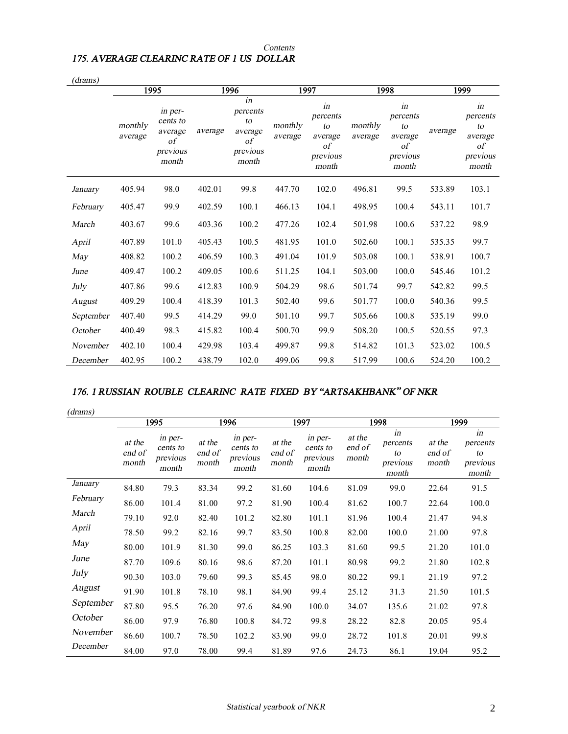## *Contents 175. AVERAGE CLEARINC RATE OF 1 US DOLLAR*

| (drams)   |                    |                                                           |         |                                                            |                    |                                                            |                    |                                                                    |         |                                                            |
|-----------|--------------------|-----------------------------------------------------------|---------|------------------------------------------------------------|--------------------|------------------------------------------------------------|--------------------|--------------------------------------------------------------------|---------|------------------------------------------------------------|
|           | 1995               |                                                           | 1996    |                                                            | 1997               |                                                            | 1998               |                                                                    | 1999    |                                                            |
|           | monthly<br>average | in per-<br>cents to<br>average<br>οf<br>previous<br>month | average | in<br>percents<br>to<br>average<br>οf<br>previous<br>month | monthly<br>average | in<br>percents<br>to<br>average<br>οf<br>previous<br>month | monthly<br>average | in<br>percents<br>to<br>average<br>$\sigma f$<br>previous<br>month | average | in<br>percents<br>to<br>average<br>οf<br>previous<br>month |
| January   | 405.94             | 98.0                                                      | 402.01  | 99.8                                                       | 447.70             | 102.0                                                      | 496.81             | 99.5                                                               | 533.89  | 103.1                                                      |
| February  | 405.47             | 99.9                                                      | 402.59  | 100.1                                                      | 466.13             | 104.1                                                      | 498.95             | 100.4                                                              | 543.11  | 101.7                                                      |
| March     | 403.67             | 99.6                                                      | 403.36  | 100.2                                                      | 477.26             | 102.4                                                      | 501.98             | 100.6                                                              | 537.22  | 98.9                                                       |
| April     | 407.89             | 101.0                                                     | 405.43  | 100.5                                                      | 481.95             | 101.0                                                      | 502.60             | 100.1                                                              | 535.35  | 99.7                                                       |
| May       | 408.82             | 100.2                                                     | 406.59  | 100.3                                                      | 491.04             | 101.9                                                      | 503.08             | 100.1                                                              | 538.91  | 100.7                                                      |
| June      | 409.47             | 100.2                                                     | 409.05  | 100.6                                                      | 511.25             | 104.1                                                      | 503.00             | 100.0                                                              | 545.46  | 101.2                                                      |
| July      | 407.86             | 99.6                                                      | 412.83  | 100.9                                                      | 504.29             | 98.6                                                       | 501.74             | 99.7                                                               | 542.82  | 99.5                                                       |
| August    | 409.29             | 100.4                                                     | 418.39  | 101.3                                                      | 502.40             | 99.6                                                       | 501.77             | 100.0                                                              | 540.36  | 99.5                                                       |
| September | 407.40             | 99.5                                                      | 414.29  | 99.0                                                       | 501.10             | 99.7                                                       | 505.66             | 100.8                                                              | 535.19  | 99.0                                                       |
| October   | 400.49             | 98.3                                                      | 415.82  | 100.4                                                      | 500.70             | 99.9                                                       | 508.20             | 100.5                                                              | 520.55  | 97.3                                                       |
| November  | 402.10             | 100.4                                                     | 429.98  | 103.4                                                      | 499.87             | 99.8                                                       | 514.82             | 101.3                                                              | 523.02  | 100.5                                                      |
| December  | 402.95             | 100.2                                                     | 438.79  | 102.0                                                      | 499.06             | 99.8                                                       | 517.99             | 100.6                                                              | 524.20  | 100.2                                                      |

## *176. 1 RUSSIAN ROUBLE CLEARINC RATE FIXED BY "ARTSAKHBANK" OF NKR*

*(drams)* 

|           | 1995                      |                                          | 1996                      |                                          | 1997                      |                                          | 1998                      |                                           | 1999                      |                                           |
|-----------|---------------------------|------------------------------------------|---------------------------|------------------------------------------|---------------------------|------------------------------------------|---------------------------|-------------------------------------------|---------------------------|-------------------------------------------|
|           | at the<br>end of<br>month | in per-<br>cents to<br>previous<br>month | at the<br>end of<br>month | in per-<br>cents to<br>previous<br>month | at the<br>end of<br>month | in per-<br>cents to<br>previous<br>month | at the<br>end of<br>month | in<br>percents<br>to<br>previous<br>month | at the<br>end of<br>month | in<br>percents<br>to<br>previous<br>month |
| January   | 84.80                     | 79.3                                     | 83.34                     | 99.2                                     | 81.60                     | 104.6                                    | 81.09                     | 99.0                                      | 22.64                     | 91.5                                      |
| February  | 86.00                     | 101.4                                    | 81.00                     | 97.2                                     | 81.90                     | 100.4                                    | 81.62                     | 100.7                                     | 22.64                     | 100.0                                     |
| March     | 79.10                     | 92.0                                     | 82.40                     | 101.2                                    | 82.80                     | 101.1                                    | 81.96                     | 100.4                                     | 21.47                     | 94.8                                      |
| April     | 78.50                     | 99.2                                     | 82.16                     | 99.7                                     | 83.50                     | 100.8                                    | 82.00                     | 100.0                                     | 21.00                     | 97.8                                      |
| May       | 80.00                     | 101.9                                    | 81.30                     | 99.0                                     | 86.25                     | 103.3                                    | 81.60                     | 99.5                                      | 21.20                     | 101.0                                     |
| June      | 87.70                     | 109.6                                    | 80.16                     | 98.6                                     | 87.20                     | 101.1                                    | 80.98                     | 99.2                                      | 21.80                     | 102.8                                     |
| July      | 90.30                     | 103.0                                    | 79.60                     | 99.3                                     | 85.45                     | 98.0                                     | 80.22                     | 99.1                                      | 21.19                     | 97.2                                      |
| August    | 91.90                     | 101.8                                    | 78.10                     | 98.1                                     | 84.90                     | 99.4                                     | 25.12                     | 31.3                                      | 21.50                     | 101.5                                     |
| September | 87.80                     | 95.5                                     | 76.20                     | 97.6                                     | 84.90                     | 100.0                                    | 34.07                     | 135.6                                     | 21.02                     | 97.8                                      |
| October   | 86.00                     | 97.9                                     | 76.80                     | 100.8                                    | 84.72                     | 99.8                                     | 28.22                     | 82.8                                      | 20.05                     | 95.4                                      |
| November  | 86.60                     | 100.7                                    | 78.50                     | 102.2                                    | 83.90                     | 99.0                                     | 28.72                     | 101.8                                     | 20.01                     | 99.8                                      |
| December  | 84.00                     | 97.0                                     | 78.00                     | 99.4                                     | 81.89                     | 97.6                                     | 24.73                     | 86.1                                      | 19.04                     | 95.2                                      |